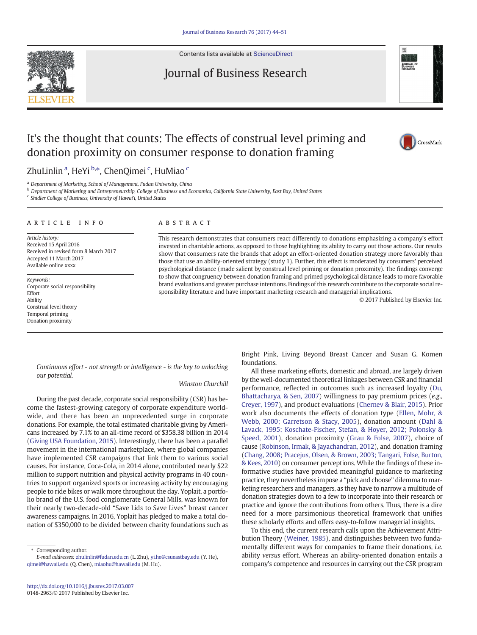

Contents lists available at [ScienceDirect](http://www.sciencedirect.com/science/journal/01482963)

# Journal of Business Research



# It's the thought that counts: The effects of construal level priming and donation proximity on consumer response to donation framing



## ZhuLinlin <sup>a</sup>, HeYi <sup>b,\*</sup>, ChenQimei <sup>c</sup>, HuMiao <sup>c</sup>

<sup>a</sup> Department of Marketing, School of Management, Fudan University, China

**b** Department of Marketing and Entrepreneurship, College of Business and Economics, California State University, East Bay, United States

<sup>c</sup> Shidler College of Business, University of Hawai'i, United States

#### article info abstract

Article history: Received 15 April 2016 Received in revised form 8 March 2017 Accepted 11 March 2017 Available online xxxx

Keywords: Corporate social responsibility Effort Ability Construal level theory Temporal priming Donation proximity

This research demonstrates that consumers react differently to donations emphasizing a company's effort invested in charitable actions, as opposed to those highlighting its ability to carry out those actions. Our results show that consumers rate the brands that adopt an effort-oriented donation strategy more favorably than those that use an ability-oriented strategy (study 1). Further, this effect is moderated by consumers' perceived psychological distance (made salient by construal level priming or donation proximity). The findings converge to show that congruency between donation framing and primed psychological distance leads to more favorable brand evaluations and greater purchase intentions. Findings of this research contribute to the corporate social responsibility literature and have important marketing research and managerial implications.

© 2017 Published by Elsevier Inc.

Continuous effort - not strength or intelligence - is the key to unlocking our potential.

#### Winston Churchill

During the past decade, corporate social responsibility (CSR) has become the fastest-growing category of corporate expenditure worldwide, and there has been an unprecedented surge in corporate donations. For example, the total estimated charitable giving by Americans increased by 7.1% to an all-time record of \$358.38 billion in 2014 [\(Giving USA Foundation, 2015](#page-6-0)). Interestingly, there has been a parallel movement in the international marketplace, where global companies have implemented CSR campaigns that link them to various social causes. For instance, Coca-Cola, in 2014 alone, contributed nearly \$22 million to support nutrition and physical activity programs in 40 countries to support organized sports or increasing activity by encouraging people to ride bikes or walk more throughout the day. Yoplait, a portfolio brand of the U.S. food conglomerate General Mills, was known for their nearly two-decade-old "Save Lids to Save Lives" breast cancer awareness campaigns. In 2016, Yoplait has pledged to make a total donation of \$350,000 to be divided between charity foundations such as

⁎ Corresponding author.

Bright Pink, Living Beyond Breast Cancer and Susan G. Komen foundations.

All these marketing efforts, domestic and abroad, are largely driven by the well-documented theoretical linkages between CSR and financial performance, reflected in outcomes such as increased loyalty [\(Du,](#page-6-0) [Bhattacharya, & Sen, 2007\)](#page-6-0) willingness to pay premium prices (e.g., [Creyer, 1997\)](#page-6-0), and product evaluations ([Chernev & Blair, 2015\)](#page-6-0). Prior work also documents the effects of donation type ([Ellen, Mohr, &](#page-6-0) [Webb, 2000; Garretson & Stacy, 2005\)](#page-6-0), donation amount ([Dahl &](#page-6-0) [Lavack, 1995; Koschate-Fischer, Stefan, & Hoyer, 2012; Polonsky &](#page-6-0) [Speed, 2001\)](#page-6-0), donation proximity ([Grau & Folse, 2007\)](#page-6-0), choice of cause [\(Robinson, Irmak, & Jayachandran, 2012](#page-6-0)), and donation framing [\(Chang, 2008; Pracejus, Olsen, & Brown, 2003; Tangari, Folse, Burton,](#page-6-0) [& Kees, 2010](#page-6-0)) on consumer perceptions. While the findings of these informative studies have provided meaningful guidance to marketing practice, they nevertheless impose a "pick and choose" dilemma to marketing researchers and managers, as they have to narrow a multitude of donation strategies down to a few to incorporate into their research or practice and ignore the contributions from others. Thus, there is a dire need for a more parsimonious theoretical framework that unifies these scholarly efforts and offers easy-to-follow managerial insights.

To this end, the current research calls upon the Achievement Attribution Theory [\(Weiner, 1985\)](#page-6-0), and distinguishes between two fundamentally different ways for companies to frame their donations, i.e. ability versus effort. Whereas an ability-oriented donation entails a company's competence and resources in carrying out the CSR program

E-mail addresses: zhulinlin@fudan.edu.cn (L. Zhu), yi.he@csueastbay.edu (Y. He), qimei@hawaii.edu (Q. Chen), [miaohu@hawaii.edu](mailto:miaohu@hawaii.edu) (M. Hu).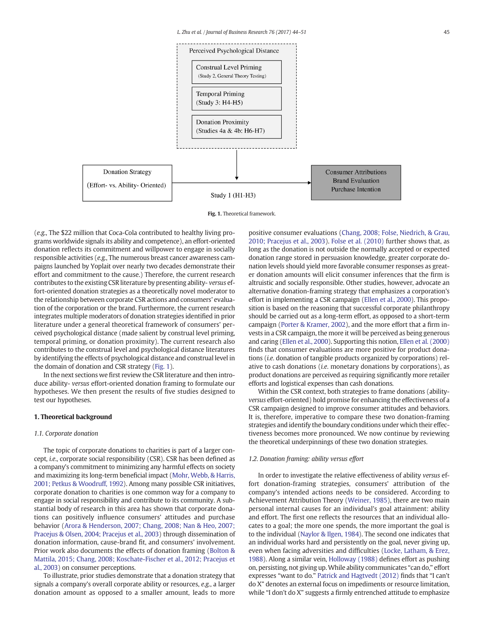

Fig. 1. Theoretical framework.

(e.g., The \$22 million that Coca-Cola contributed to healthy living programs worldwide signals its ability and competence), an effort-oriented donation reflects its commitment and willpower to engage in socially responsible activities (e.g., The numerous breast cancer awareness campaigns launched by Yoplait over nearly two decades demonstrate their effort and commitment to the cause.) Therefore, the current research contributes to the existing CSR literature by presenting ability- versus effort-oriented donation strategies as a theoretically novel moderator to the relationship between corporate CSR actions and consumers' evaluation of the corporation or the brand. Furthermore, the current research integrates multiple moderators of donation strategies identified in prior literature under a general theoretical framework of consumers' perceived psychological distance (made salient by construal level priming, temporal priming, or donation proximity). The current research also contributes to the construal level and psychological distance literatures by identifying the effects of psychological distance and construal level in the domain of donation and CSR strategy (Fig. 1).

In the next sections we first review the CSR literature and then introduce ability- versus effort-oriented donation framing to formulate our hypotheses. We then present the results of five studies designed to test our hypotheses.

#### 1. Theoretical background

#### 1.1. Corporate donation

The topic of corporate donations to charities is part of a larger concept, i.e., corporate social responsibility (CSR). CSR has been defined as a company's commitment to minimizing any harmful effects on society and maximizing its long-term beneficial impact [\(Mohr, Webb, & Harris,](#page-6-0) [2001; Petkus & Woodruff, 1992\)](#page-6-0). Among many possible CSR initiatives, corporate donation to charities is one common way for a company to engage in social responsibility and contribute to its community. A substantial body of research in this area has shown that corporate donations can positively influence consumers' attitudes and purchase behavior ([Arora & Henderson, 2007; Chang, 2008; Nan & Heo, 2007;](#page-6-0) [Pracejus & Olsen, 2004; Pracejus et al., 2003](#page-6-0)) through dissemination of donation information, cause-brand fit, and consumers' involvement. Prior work also documents the effects of donation framing [\(Bolton &](#page-6-0) [Mattila, 2015; Chang, 2008; Koschate-Fischer et al., 2012; Pracejus et](#page-6-0) [al., 2003](#page-6-0)) on consumer perceptions.

To illustrate, prior studies demonstrate that a donation strategy that signals a company's overall corporate ability or resources, e.g., a larger donation amount as opposed to a smaller amount, leads to more

positive consumer evaluations ([Chang, 2008; Folse, Niedrich, & Grau,](#page-6-0) [2010; Pracejus et al., 2003](#page-6-0)). [Folse et al. \(2010\)](#page-6-0) further shows that, as long as the donation is not outside the normally accepted or expected donation range stored in persuasion knowledge, greater corporate donation levels should yield more favorable consumer responses as greater donation amounts will elicit consumer inferences that the firm is altruistic and socially responsible. Other studies, however, advocate an alternative donation-framing strategy that emphasizes a corporation's effort in implementing a CSR campaign [\(Ellen et al., 2000](#page-6-0)). This proposition is based on the reasoning that successful corporate philanthropy should be carried out as a long-term effort, as opposed to a short-term campaign [\(Porter & Kramer, 2002](#page-6-0)), and the more effort that a firm invests in a CSR campaign, the more it will be perceived as being generous and caring (Ellen [et al., 2000\)](#page-6-0). Supporting this notion, [Ellen et al. \(2000\)](#page-6-0) finds that consumer evaluations are more positive for product donations (i.e. donation of tangible products organized by corporations) relative to cash donations (i.e. monetary donations by corporations), as product donations are perceived as requiring significantly more retailer efforts and logistical expenses than cash donations.

Within the CSR context, both strategies to frame donations (abilityversus effort-oriented) hold promise for enhancing the effectiveness of a CSR campaign designed to improve consumer attitudes and behaviors. It is, therefore, imperative to compare these two donation-framing strategies and identify the boundary conditions under which their effectiveness becomes more pronounced. We now continue by reviewing the theoretical underpinnings of these two donation strategies.

#### 1.2. Donation framing: ability versus effort

In order to investigate the relative effectiveness of ability versus effort donation-framing strategies, consumers' attribution of the company's intended actions needs to be considered. According to Achievement Attribution Theory [\(Weiner, 1985\)](#page-6-0), there are two main personal internal causes for an individual's goal attainment: ability and effort. The first one reflects the resources that an individual allocates to a goal; the more one spends, the more important the goal is to the individual [\(Naylor & Ilgen, 1984](#page-6-0)). The second one indicates that an individual works hard and persistently on the goal, never giving up, even when facing adversities and difficulties ([Locke, Latham, & Erez,](#page-6-0) [1988](#page-6-0)). Along a similar vein, [Holloway \(1988\)](#page-6-0) defines effort as pushing on, persisting, not giving up.While ability communicates "can do," effort expresses "want to do." [Patrick and Hagtvedt \(2012\)](#page-6-0) finds that "I can't do X" denotes an external focus on impediments or resource limitation, while "I don't do X" suggests a firmly entrenched attitude to emphasize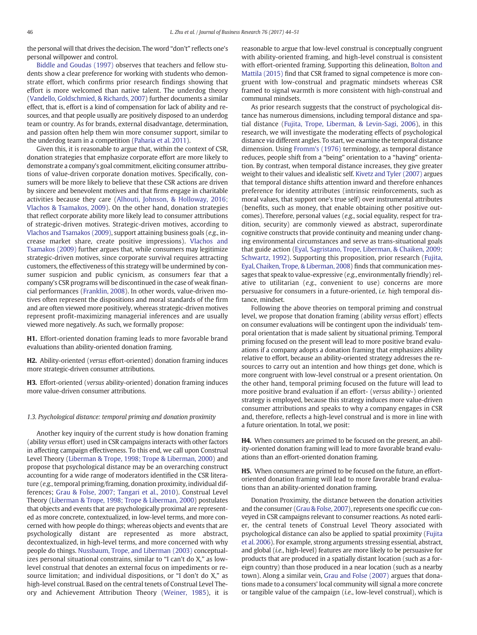<span id="page-2-0"></span>the personal will that drives the decision. The word "don't" reflects one's personal willpower and control.

[Biddle and Goudas \(1997\)](#page-6-0) observes that teachers and fellow students show a clear preference for working with students who demonstrate effort, which confirms prior research findings showing that effort is more welcomed than native talent. The underdog theory [\(Vandello, Goldschmied, & Richards, 2007](#page-6-0)) further documents a similar effect, that is, effort is a kind of compensation for lack of ability and resources, and that people usually are positively disposed to an underdog team or country. As for brands, external disadvantage, determination, and passion often help them win more consumer support, similar to the underdog team in a competition ([Paharia et al. 2011](#page-6-0)).

Given this, it is reasonable to argue that, within the context of CSR, donation strategies that emphasize corporate effort are more likely to demonstrate a company's goal commitment, eliciting consumer attributions of value-driven corporate donation motives. Specifically, consumers will be more likely to believe that these CSR actions are driven by sincere and benevolent motives and that firms engage in charitable activities because they care ([Alhouti, Johnson, & Holloway, 2016;](#page-6-0) [Vlachos & Tsamakos, 2009](#page-6-0)). On the other hand, donation strategies that reflect corporate ability more likely lead to consumer attributions of strategic-driven motives. Strategic-driven motives, according to [Vlachos and Tsamakos \(2009\),](#page-6-0) support attaining business goals (e.g., increase market share, create positive impressions). [Vlachos and](#page-6-0) [Tsamakos \(2009\)](#page-6-0) further argues that, while consumers may legitimize strategic-driven motives, since corporate survival requires attracting customers, the effectiveness of this strategy will be undermined by consumer suspicion and public cynicism, as consumers fear that a company's CSR programs will be discontinued in the case of weak financial performances ([Franklin, 2008\)](#page-6-0). In other words, value-driven motives often represent the dispositions and moral standards of the firm and are often viewed more positively, whereas strategic-driven motives represent profit-maximizing managerial inferences and are usually viewed more negatively. As such, we formally propose:

H1. Effort-oriented donation framing leads to more favorable brand evaluations than ability-oriented donation framing.

H2. Ability-oriented (versus effort-oriented) donation framing induces more strategic-driven consumer attributions.

H3. Effort-oriented (versus ability-oriented) donation framing induces more value-driven consumer attributions.

#### 1.3. Psychological distance: temporal priming and donation proximity

Another key inquiry of the current study is how donation framing (ability versus effort) used in CSR campaigns interacts with other factors in affecting campaign effectiveness. To this end, we call upon Construal Level Theory ([Liberman & Trope, 1998; Trope & Liberman, 2000](#page-6-0)) and propose that psychological distance may be an overarching construct accounting for a wide range of moderators identified in the CSR literature (e.g., temporal priming/framing, donation proximity, individual differences; [Grau & Folse, 2007; Tangari et al., 2010](#page-6-0)). Construal Level Theory ([Liberman & Trope, 1998; Trope & Liberman, 2000](#page-6-0)) postulates that objects and events that are psychologically proximal are represented as more concrete, contextualized, in low-level terms, and more concerned with how people do things; whereas objects and events that are psychologically distant are represented as more abstract, decontextualized, in high-level terms, and more concerned with why people do things. [Nussbaum, Trope, and Liberman \(2003\)](#page-6-0) conceptualizes personal situational constrains, similar to "I can't do X," as lowlevel construal that denotes an external focus on impediments or resource limitation; and individual dispositions, or "I don't do X," as high-level construal. Based on the central tenets of Construal Level Theory and Achievement Attribution Theory ([Weiner, 1985\)](#page-6-0), it is reasonable to argue that low-level construal is conceptually congruent with ability-oriented framing, and high-level construal is consistent with effort-oriented framing. Supporting this delineation, [Bolton and](#page-6-0) [Mattila \(2015\)](#page-6-0) find that CSR framed to signal competence is more congruent with low-construal and pragmatic mindsets whereas CSR framed to signal warmth is more consistent with high-construal and communal mindsets.

As prior research suggests that the construct of psychological distance has numerous dimensions, including temporal distance and spatial distance ([Fujita, Trope, Liberman, & Levin-Sagi, 2006](#page-6-0)), in this research, we will investigate the moderating effects of psychological distance via different angles. To start, we examine the temporal distance dimension. Using [Fromm's \(1976\)](#page-6-0) terminology, as temporal distance reduces, people shift from a "being" orientation to a "having" orientation. By contrast, when temporal distance increases, they give greater weight to their values and idealistic self. [Kivetz and Tyler \(2007\)](#page-6-0) argues that temporal distance shifts attention inward and therefore enhances preference for identity attributes (intrinsic reinforcements, such as moral values, that support one's true self) over instrumental attributes (benefits, such as money, that enable obtaining other positive outcomes). Therefore, personal values (e.g., social equality, respect for tradition, security) are commonly viewed as abstract, superordinate cognitive constructs that provide continuity and meaning under changing environmental circumstances and serve as trans-situational goals that guide action [\(Eyal, Sagristano, Trope, Liberman, & Chaiken, 2009;](#page-6-0) [Schwartz, 1992](#page-6-0)). Supporting this proposition, prior research [\(Fujita,](#page-6-0) [Eyal, Chaiken, Trope, & Liberman, 2008](#page-6-0)) finds that communication messages that speak to value-expressive (e.g., environmentally friendly) relative to utilitarian (e.g., convenient to use) concerns are more persuasive for consumers in a future-oriented, i.e. high temporal distance, mindset.

Following the above theories on temporal priming and construal level, we propose that donation framing (ability versus effort) effects on consumer evaluations will be contingent upon the individuals' temporal orientation that is made salient by situational priming. Temporal priming focused on the present will lead to more positive brand evaluations if a company adopts a donation framing that emphasizes ability relative to effort, because an ability-oriented strategy addresses the resources to carry out an intention and how things get done, which is more congruent with low-level construal or a present orientation. On the other hand, temporal priming focused on the future will lead to more positive brand evaluation if an effort- (versus ability-) oriented strategy is employed, because this strategy induces more value-driven consumer attributions and speaks to why a company engages in CSR and, therefore, reflects a high-level construal and is more in line with a future orientation. In total, we posit:

H4. When consumers are primed to be focused on the present, an ability-oriented donation framing will lead to more favorable brand evaluations than an effort-oriented donation framing.

H5. When consumers are primed to be focused on the future, an effortoriented donation framing will lead to more favorable brand evaluations than an ability-oriented donation framing.

Donation Proximity, the distance between the donation activities and the consumer [\(Grau & Folse, 2007\)](#page-6-0), represents one specific cue conveyed in CSR campaigns relevant to consumer reactions. As noted earlier, the central tenets of Construal Level Theory associated with psychological distance can also be applied to spatial proximity ([Fujita](#page-6-0) [et al. 2006\)](#page-6-0). For example, strong arguments stressing essential, abstract, and global (i.e., high-level) features are more likely to be persuasive for products that are produced in a spatially distant location (such as a foreign country) than those produced in a near location (such as a nearby town). Along a similar vein, [Grau and Folse \(2007\)](#page-6-0) argues that donations made to a consumers' local community will signal a more concrete or tangible value of the campaign (i.e., low-level construal), which is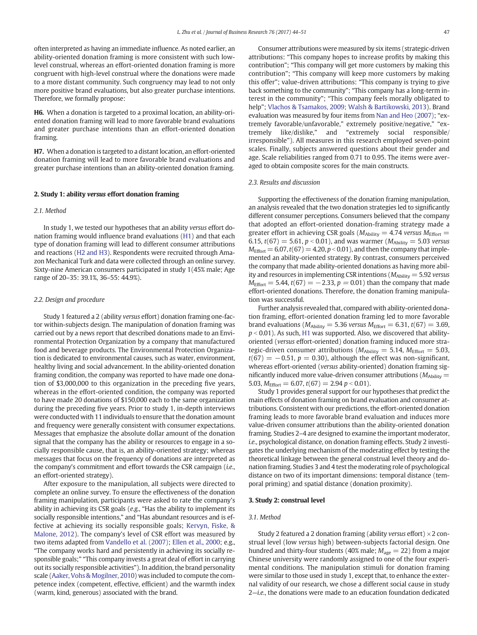<span id="page-3-0"></span>often interpreted as having an immediate influence. As noted earlier, an ability-oriented donation framing is more consistent with such lowlevel construal, whereas an effort-oriented donation framing is more congruent with high-level construal where the donations were made to a more distant community. Such congruency may lead to not only more positive brand evaluations, but also greater purchase intentions. Therefore, we formally propose:

H6. When a donation is targeted to a proximal location, an ability-oriented donation framing will lead to more favorable brand evaluations and greater purchase intentions than an effort-oriented donation framing.

H7. When a donation is targeted to a distant location, an effort-oriented donation framing will lead to more favorable brand evaluations and greater purchase intentions than an ability-oriented donation framing.

#### 2. Study 1: ability versus effort donation framing

#### 2.1. Method

In study 1, we tested our hypotheses that an ability versus effort donation framing would influence brand evaluations ([H1](#page-2-0)) and that each type of donation framing will lead to different consumer attributions and reactions ([H2 and H3\)](#page-2-0). Respondents were recruited through Amazon Mechanical Turk and data were collected through an online survey. Sixty-nine American consumers participated in study 1(45% male; Age range of 20–35: 39.1%, 36–55: 44.9%).

#### 2.2. Design and procedure

Study 1 featured a 2 (ability versus effort) donation framing one-factor within-subjects design. The manipulation of donation framing was carried out by a news report that described donations made to an Environmental Protection Organization by a company that manufactured food and beverage products. The Environmental Protection Organization is dedicated to environmental causes, such as water, environment, healthy living and social advancement. In the ability-oriented donation framing condition, the company was reported to have made one donation of \$3,000,000 to this organization in the preceding five years, whereas in the effort-oriented condition, the company was reported to have made 20 donations of \$150,000 each to the same organization during the preceding five years. Prior to study 1, in-depth interviews were conducted with 11 individuals to ensure that the donation amount and frequency were generally consistent with consumer expectations. Messages that emphasize the absolute dollar amount of the donation signal that the company has the ability or resources to engage in a socially responsible cause, that is, an ability-oriented strategy; whereas messages that focus on the frequency of donations are interpreted as the company's commitment and effort towards the CSR campaign (i.e., an effort-oriented strategy).

After exposure to the manipulation, all subjects were directed to complete an online survey. To ensure the effectiveness of the donation framing manipulation, participants were asked to rate the company's ability in achieving its CSR goals (e.g., "Has the ability to implement its socially responsible intentions," and "Has abundant resources and is effective at achieving its socially responsible goals; [Kervyn, Fiske, &](#page-6-0) [Malone, 2012](#page-6-0)). The company's level of CSR effort was measured by two items adapted from [Vandello et al. \(2007\)](#page-6-0); [Ellen et al., 2000;](#page-6-0) e.g., "The company works hard and persistently in achieving its socially responsible goals;" "This company invests a great deal of effort in carrying out its socially responsible activities"). In addition, the brand personality scale ([Aaker, Vohs & Mogilner, 2010\)](#page-6-0) was included to compute the competence index (competent, effective, efficient) and the warmth index (warm, kind, generous) associated with the brand.

Consumer attributions were measured by six items (strategic-driven attributions: "This company hopes to increase profits by making this contribution"; "This company will get more customers by making this contribution"; "This company will keep more customers by making this offer"; value-driven attributions: "This company is trying to give back something to the community"; "This company has a long-term interest in the community"; "This company feels morally obligated to help"; [Vlachos & Tsamakos, 2009; Walsh & Bartikowski, 2013\)](#page-6-0). Brand evaluation was measured by four items from [Nan and Heo \(2007\)](#page-6-0); "extremely favorable/unfavorable," extremely positive/negative," "extremely like/dislike," and "extremely social responsible/ irresponsible"). All measures in this research employed seven-point scales. Finally, subjects answered questions about their gender and age. Scale reliabilities ranged from 0.71 to 0.95. The items were averaged to obtain composite scores for the main constructs.

#### 2.3. Results and discussion

Supporting the effectiveness of the donation framing manipulation, an analysis revealed that the two donation strategies led to significantly different consumer perceptions. Consumers believed that the company that adopted an effort-oriented donation-framing strategy made a greater effort in achieving CSR goals ( $M_{\text{Ablity}} = 4.74$  versus  $M_{\text{Effort}} =$ 6.15,  $t(67) = 5.61$ ,  $p < 0.01$ ), and was warmer ( $M_{\text{Ability}} = 5.03$  versus  $M_{\text{Effort}}= 6.07$ ,  $t(67)= 4.20$ ,  $p < 0.01$ ), and then the company that implemented an ability-oriented strategy. By contrast, consumers perceived the company that made ability-oriented donations as having more ability and resources in implementing CSR intentions ( $M_{\text{Ablity}} = 5.92$  versus  $M_{\text{Effort}} = 5.44$ ,  $t(67) = -2.33$ ,  $p = 0.01$ ) than the company that made effort-oriented donations. Therefore, the donation framing manipulation was successful.

Further analysis revealed that, compared with ability-oriented donation framing, effort-oriented donation framing led to more favorable brand evaluations ( $M_{\text{Ability}} = 5.36$  versus  $M_{\text{Effort}} = 6.31$ ,  $t(67) = 3.69$ ,  $p < 0.01$ ). As such, [H1](#page-2-0) was supported. Also, we discovered that abilityoriented (versus effort-oriented) donation framing induced more strategic-driven consumer attributions ( $M_{\text{Ability}} = 5.14$ ,  $M_{\text{Effort}} = 5.03$ ,  $t(67) = -0.51$ ,  $p = 0.30$ ), although the effect was non-significant, whereas effort-oriented (versus ability-oriented) donation framing significantly induced more value-driven consumer attributions ( $M_{\text{Ability}} =$ 5.03,  $M_{\text{Effort}} = 6.07$ ,  $t(67) = 2.94$   $p < 0.01$ ).

Study 1 provides general support for our hypotheses that predict the main effects of donation framing on brand evaluation and consumer attributions. Consistent with our predictions, the effort-oriented donation framing leads to more favorable brand evaluation and induces more value-driven consumer attributions than the ability-oriented donation framing. Studies 2–4 are designed to examine the important moderator, i.e., psychological distance, on donation framing effects. Study 2 investigates the underlying mechanism of the moderating effect by testing the theoretical linkage between the general construal level theory and donation framing. Studies 3 and 4 test the moderating role of psychological distance on two of its important dimensions: temporal distance (temporal priming) and spatial distance (donation proximity).

#### 3. Study 2: construal level

#### 3.1. Method

Study 2 featured a 2 donation framing (ability versus effort)  $\times$  2 construal level (low versus high) between-subjects factorial design. One hundred and thirty-four students (40% male;  $M_{\text{age}} = 22$ ) from a major Chinese university were randomly assigned to one of the four experimental conditions. The manipulation stimuli for donation framing were similar to those used in study 1, except that, to enhance the external validity of our research, we chose a different social cause in study 2—i.e., the donations were made to an education foundation dedicated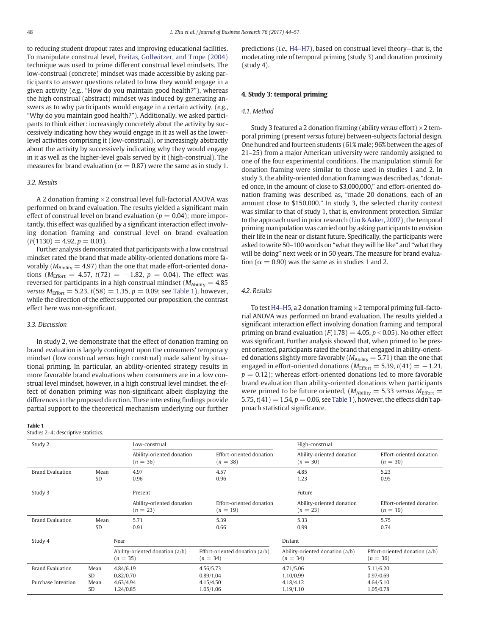<span id="page-4-0"></span>to reducing student dropout rates and improving educational facilities. To manipulate construal level, [Freitas, Gollwitzer, and Trope \(2004\)](#page-6-0) technique was used to prime different construal level mindsets. The low-construal (concrete) mindset was made accessible by asking participants to answer questions related to how they would engage in a given activity (e.g., "How do you maintain good health?"), whereas the high construal (abstract) mindset was induced by generating answers as to why participants would engage in a certain activity, (e.g., "Why do you maintain good health?"). Additionally, we asked participants to think either: increasingly concretely about the activity by successively indicating how they would engage in it as well as the lowerlevel activities comprising it (low-construal), or increasingly abstractly about the activity by successively indicating why they would engage in it as well as the higher-level goals served by it (high-construal). The measures for brand evaluation ( $\alpha = 0.87$ ) were the same as in study 1.

#### 3.2. Results

A 2 donation framing  $\times$  2 construal level full-factorial ANOVA was performed on brand evaluation. The results yielded a significant main effect of construal level on brand evaluation ( $p = 0.04$ ); more importantly, this effect was qualified by a significant interaction effect involving donation framing and construal level on brand evaluation  $(F(1130) = 4.92, p = 0.03).$ 

Further analysis demonstrated that participants with a low construal mindset rated the brand that made ability-oriented donations more favorably ( $M_{\text{Ability}} = 4.97$ ) than the one that made effort-oriented donations ( $M_{\text{Effort}} = 4.57$ ,  $t(72) = -1.82$ ,  $p = 0.04$ ). The effect was reversed for participants in a high construal mindset ( $M_{\text{Ablitiv}} = 4.85$ ) versus  $M_{\text{Effort}} = 5.23$ ,  $t(58) = 1.35$ ,  $p = 0.09$ ; see Table 1), however, while the direction of the effect supported our proposition, the contrast effect here was non-significant.

#### 3.3. Discussion

In study 2, we demonstrate that the effect of donation framing on brand evaluation is largely contingent upon the consumers' temporary mindset (low construal versus high construal) made salient by situational priming. In particular, an ability-oriented strategy results in more favorable brand evaluations when consumers are in a low construal level mindset, however, in a high construal level mindset, the effect of donation priming was non-significant albeit displaying the differences in the proposed direction. These interesting findings provide partial support to the theoretical mechanism underlying our further

#### Table 1

Studies 2–4: descriptive statistics.

predictions (i.e., H4–[H7\)](#page-2-0), based on construal level theory—that is, the moderating role of temporal priming (study 3) and donation proximity (study 4).

#### 4. Study 3: temporal priming

#### 4.1. Method

Study 3 featured a 2 donation framing (ability versus effort)  $\times$  2 temporal priming (present versus future) between-subjects factorial design. One hundred and fourteen students (61% male; 96% between the ages of 21–25) from a major American university were randomly assigned to one of the four experimental conditions. The manipulation stimuli for donation framing were similar to those used in studies 1 and 2. In study 3, the ability-oriented donation framing was described as, "donated once, in the amount of close to \$3,000,000," and effort-oriented donation framing was described as, "made 20 donations, each of an amount close to \$150,000." In study 3, the selected charity context was similar to that of study 1, that is, environment protection. Similar to the approach used in prior research [\(Liu & Aaker, 2007](#page-6-0)), the temporal priming manipulation was carried out by asking participants to envision their life in the near or distant future. Specifically, the participants were asked to write 50–100 words on "what they will be like" and "what they will be doing" next week or in 50 years. The measure for brand evaluation ( $\alpha = 0.90$ ) was the same as in studies 1 and 2.

#### 4.2. Results

To test H4–[H5,](#page-2-0) a 2 donation framing  $\times$  2 temporal priming full-factorial ANOVA was performed on brand evaluation. The results yielded a significant interaction effect involving donation framing and temporal priming on brand evaluation ( $F(1,78) = 4.05$ ,  $p < 0.05$ ). No other effect was significant. Further analysis showed that, when primed to be present oriented, participants rated the brand that engaged in ability-oriented donations slightly more favorably ( $M_{\text{Ability}} = 5.71$ ) than the one that engaged in effort-oriented donations ( $M_{\text{Effort}} = 5.39$ ,  $t(41) = -1.21$ ,  $p = 0.12$ ; whereas effort-oriented donations led to more favorable brand evaluation than ability-oriented donations when participants were primed to be future oriented, ( $M_{\text{Ability}} = 5.33$  versus  $M_{\text{Effort}} =$ 5.75,  $t(41) = 1.54$ ,  $p = 0.06$ , see Table 1), however, the effects didn't approach statistical significance.

| Study 2                 |                   | Low-construal                                 |                                              | High-construal                                |                                              |  |
|-------------------------|-------------------|-----------------------------------------------|----------------------------------------------|-----------------------------------------------|----------------------------------------------|--|
|                         |                   | Ability-oriented donation<br>$(n = 36)$       | Effort-oriented donation<br>$(n = 38)$       | Ability-oriented donation<br>$(n = 30)$       | Effort-oriented donation<br>$(n = 30)$       |  |
| <b>Brand Evaluation</b> | Mean<br><b>SD</b> | 4.97<br>0.96                                  | 4.57<br>0.96                                 | 4.85<br>1.23                                  | 5.23<br>0.95                                 |  |
| Study 3                 |                   | Present                                       |                                              |                                               | Future                                       |  |
|                         |                   | Ability-oriented donation<br>$(n = 23)$       | Effort-oriented donation<br>$(n = 19)$       | Ability-oriented donation<br>$(n = 23)$       | Effort-oriented donation<br>$(n = 19)$       |  |
| <b>Brand Evaluation</b> | Mean<br><b>SD</b> | 5.71<br>0.91                                  | 5.39<br>0.66                                 | 5.33<br>0.99                                  | 5.75<br>0.74                                 |  |
| Study 4                 |                   | Near                                          |                                              | Distant                                       |                                              |  |
|                         |                   | Ability-oriented donation (a/b)<br>$(n = 35)$ | Effort-oriented donation (a/b)<br>$(n = 34)$ | Ability-oriented donation (a/b)<br>$(n = 34)$ | Effort-oriented donation (a/b)<br>$(n = 36)$ |  |
| <b>Brand Evaluation</b> | Mean<br><b>SD</b> | 4.84/6.19<br>0.82/0.70                        | 4.56/5.73<br>0.89/1.04                       | 4,71/5.06<br>1.10/0.99                        | 5.11/6.20<br>0.97/0.69                       |  |
| Purchase Intention      | Mean<br><b>SD</b> | 4.63/4.94<br>1.24/0.85                        | 4.15/4.50<br>1.05/1.06                       | 4.18/4.12<br>1.19/1.10                        | 4.64/5.10<br>1.05/0.78                       |  |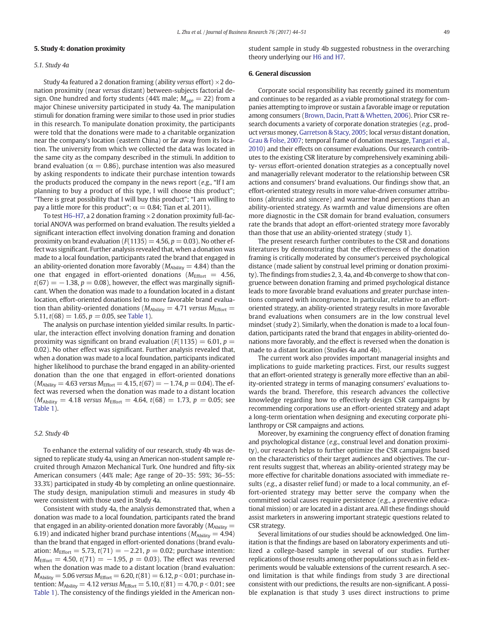#### 5. Study 4: donation proximity

#### 5.1. Study 4a

Study 4a featured a 2 donation framing (ability versus effort)  $\times$  2 donation proximity (near versus distant) between-subjects factorial design. One hundred and forty students (44% male;  $M_{\text{age}} = 22$ ) from a major Chinese university participated in study 4a. The manipulation stimuli for donation framing were similar to those used in prior studies in this research. To manipulate donation proximity, the participants were told that the donations were made to a charitable organization near the company's location (eastern China) or far away from its location. The university from which we collected the data was located in the same city as the company described in the stimuli. In addition to brand evaluation ( $\alpha = 0.86$ ), purchase intention was also measured by asking respondents to indicate their purchase intention towards the products produced the company in the news report (e.g., "If I am planning to buy a product of this type, I will choose this product"; "There is great possibility that I will buy this product"; "I am willing to pay a little more for this product";  $\alpha = 0.84$ ; Tian et al. 2011).

To test H6–[H7,](#page-3-0) a 2 donation framing  $\times$  2 donation proximity full-factorial ANOVA was performed on brand evaluation. The results yielded a significant interaction effect involving donation framing and donation proximity on brand evaluation ( $F(1135) = 4.56$ ,  $p = 0.03$ ). No other effect was significant. Further analysis revealed that, when a donation was made to a local foundation, participants rated the brand that engaged in an ability-oriented donation more favorably ( $M_{\text{Ablity}} = 4.84$ ) than the one that engaged in effort-oriented donations ( $M_{\text{Effort}} = 4.56$ ,  $t(67) = -1.38$ ,  $p = 0.08$ ), however, the effect was marginally significant. When the donation was made to a foundation located in a distant location, effort-oriented donations led to more favorable brand evaluation than ability-oriented donations ( $M_{\text{Ablity}} = 4.71$  versus  $M_{\text{Effort}} =$ 5.11,  $t(68) = 1.65$ ,  $p = 0.05$ , see [Table 1](#page-4-0)).

The analysis on purchase intention yielded similar results. In particular, the interaction effect involving donation framing and donation proximity was significant on brand evaluation ( $F(1135) = 6.01$ ,  $p =$ 0.02). No other effect was significant. Further analysis revealed that, when a donation was made to a local foundation, participants indicated higher likelihood to purchase the brand engaged in an ability-oriented donation than the one that engaged in effort-oriented donations  $(M_{\text{Ability}} = 4.63 \text{ versus } M_{\text{Effort}} = 4.15, t(67) = -1.74, p = 0.04$ ). The effect was reversed when the donation was made to a distant location  $(M_{\text{Ablity}} = 4.18$  versus  $M_{\text{Effort}} = 4.64$ ,  $t(68) = 1.73$ ,  $p = 0.05$ ; see [Table 1](#page-4-0)).

#### 5.2. Study 4b

To enhance the external validity of our research, study 4b was designed to replicate study 4a, using an American non-student sample recruited through Amazon Mechanical Turk. One hundred and fifty-six American consumers (44% male; Age range of 20–35: 59%; 36–55: 33.3%) participated in study 4b by completing an online questionnaire. The study design, manipulation stimuli and measures in study 4b were consistent with those used in Study 4a.

Consistent with study 4a, the analysis demonstrated that, when a donation was made to a local foundation, participants rated the brand that engaged in an ability-oriented donation more favorably ( $M_{\text{Ablity}} =$ 6.19) and indicated higher brand purchase intentions ( $M_{\text{Ability}} = 4.94$ ) than the brand that engaged in effort-oriented donations (brand evaluation:  $M_{\text{Effort}} = 5.73$ ,  $t(71) = -2.21$ ,  $p = 0.02$ ; purchase intention:  $M_{\text{Effort}} = 4.50, t(71) = -1.95, p = 0.03$ . The effect was reversed when the donation was made to a distant location (brand evaluation:  $M_{\rm Ability} = 5.06$  versus  $M_{\rm Effort} = 6.20$ ,  $t(81) = 6.12$ ,  $p < 0.01$ ; purchase intention:  $M_{\text{Ablity}} = 4.12 \text{ versus } M_{\text{Effort}} = 5.10, t(81) = 4.70, p < 0.01$ ; see [Table 1](#page-4-0)). The consistency of the findings yielded in the American nonstudent sample in study 4b suggested robustness in the overarching theory underlying our [H6 and H7](#page-3-0).

#### 6. General discussion

Corporate social responsibility has recently gained its momentum and continues to be regarded as a viable promotional strategy for companies attempting to improve or sustain a favorable image or reputation among consumers [\(Brown, Dacin, Pratt & Whetten, 2006\)](#page-6-0). Prior CSR research documents a variety of corporate donation strategies (e.g., product versus money, [Garretson & Stacy, 2005;](#page-6-0) local versus distant donation, [Grau & Folse, 2007](#page-6-0); temporal frame of donation message, [Tangari et al.,](#page-6-0) [2010](#page-6-0)) and their effects on consumer evaluations. Our research contributes to the existing CSR literature by comprehensively examining ability- versus effort-oriented donation strategies as a conceptually novel and managerially relevant moderator to the relationship between CSR actions and consumers' brand evaluations. Our findings show that, an effort-oriented strategy results in more value-driven consumer attributions (altruistic and sincere) and warmer brand perceptions than an ability-oriented strategy. As warmth and value dimensions are often more diagnostic in the CSR domain for brand evaluation, consumers rate the brands that adopt an effort-oriented strategy more favorably than those that use an ability-oriented strategy (study 1).

The present research further contributes to the CSR and donations literatures by demonstrating that the effectiveness of the donation framing is critically moderated by consumer's perceived psychological distance (made salient by construal level priming or donation proximity). The findings from studies 2, 3, 4a, and 4b converge to show that congruence between donation framing and primed psychological distance leads to more favorable brand evaluations and greater purchase intentions compared with incongruence. In particular, relative to an effortoriented strategy, an ability-oriented strategy results in more favorable brand evaluations when consumers are in the low construal level mindset (study 2). Similarly, when the donation is made to a local foundation, participants rated the brand that engages in ability-oriented donations more favorably, and the effect is reversed when the donation is made to a distant location (Studies 4a and 4b).

The current work also provides important managerial insights and implications to guide marketing practices. First, our results suggest that an effort-oriented strategy is generally more effective than an ability-oriented strategy in terms of managing consumers' evaluations towards the brand. Therefore, this research advances the collective knowledge regarding how to effectively design CSR campaigns by recommending corporations use an effort-oriented strategy and adapt a long-term orientation when designing and executing corporate philanthropy or CSR campaigns and actions.

Moreover, by examining the congruency effect of donation framing and psychological distance (e.g., construal level and donation proximity), our research helps to further optimize the CSR campaigns based on the characteristics of their target audiences and objectives. The current results suggest that, whereas an ability-oriented strategy may be more effective for charitable donations associated with immediate results (e.g., a disaster relief fund) or made to a local community, an effort-oriented strategy may better serve the company when the committed social causes require persistence (e.g., a preventive educational mission) or are located in a distant area. All these findings should assist marketers in answering important strategic questions related to CSR strategy.

Several limitations of our studies should be acknowledged. One limitation is that the findings are based on laboratory experiments and utilized a college-based sample in several of our studies. Further replications of those results among other populations such as in field experiments would be valuable extensions of the current research. A second limitation is that while findings from study 3 are directional consistent with our predictions, the results are non-significant. A possible explanation is that study 3 uses direct instructions to prime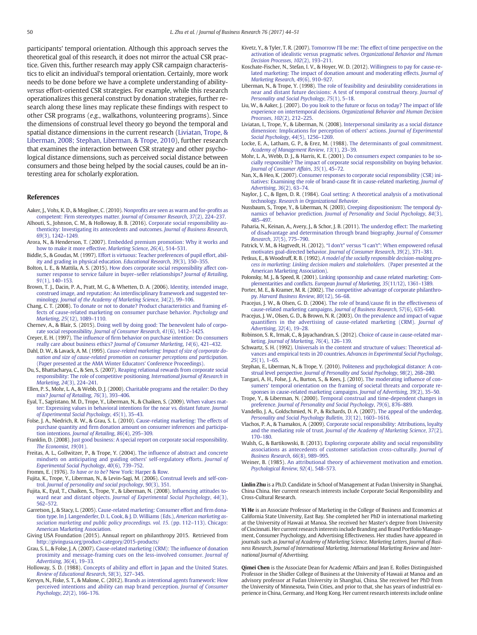<span id="page-6-0"></span>participants' temporal orientation. Although this approach serves the theoretical goal of this research, it does not mirror the actual CSR practice. Given this, further research may apply CSR campaign characteristics to elicit an individual's temporal orientation. Certainly, more work needs to be done before we have a complete understanding of abilityversus effort-oriented CSR strategies. For example, while this research operationalizes this general construct by donation strategies, further research along these lines may replicate these findings with respect to other CSR programs (e.g., walkathons, volunteering programs). Since the dimensions of construal level theory go beyond the temporal and spatial distance dimensions in the current research (Liviatan, Trope, & Liberman, 2008; Stephan, Liberman, & Trope, 2010), further research that examines the interaction between CSR strategy and other psychological distance dimensions, such as perceived social distance between consumers and those being helped by the social causes, could be an interesting area for scholarly exploration.

### References

- Aaker, J., Vohs, K. D., & Mogilner, C. (2010). Nonprofi[ts are seen as warm and for-pro](http://refhub.elsevier.com/S0148-2963(17)30094-2/rf9000)fits as [competent: Firm stereotypes matter.](http://refhub.elsevier.com/S0148-2963(17)30094-2/rf9000) Journal of Consumer Research, 37(2), 224–237.
- Alhouti, S., Johnson, C. M., & Holloway, B. B. (2016). [Corporate social responsibility au](http://refhub.elsevier.com/S0148-2963(17)30094-2/rf0010)[thenticity: Investigating its antecedents and outcomes.](http://refhub.elsevier.com/S0148-2963(17)30094-2/rf0010) Journal of Business Research, 69[\(3\), 1242](http://refhub.elsevier.com/S0148-2963(17)30094-2/rf0010)–1249.
- Arora, N., & Henderson, T. (2007). [Embedded premium promotion: Why it works and](http://refhub.elsevier.com/S0148-2963(17)30094-2/rf0015) [how to make it more effective.](http://refhub.elsevier.com/S0148-2963(17)30094-2/rf0015) Marketing Science, 26(4), 514–531.
- Biddle, S., & Goudas, M. (1997). [Effort is virtuous: Teacher preferences of pupil effort, abil](http://refhub.elsevier.com/S0148-2963(17)30094-2/rf0025)[ity and grading in physical education.](http://refhub.elsevier.com/S0148-2963(17)30094-2/rf0025) Educational Research, 39(3), 350–355.
- Bolton, L. E., & Mattila, A. S. (2015). [How does corporate social responsibility affect con](http://refhub.elsevier.com/S0148-2963(17)30094-2/rf0030)[sumer response to service failure in buyer](http://refhub.elsevier.com/S0148-2963(17)30094-2/rf0030)–seller relationships? Journal of Retailing, 91[\(1\), 140](http://refhub.elsevier.com/S0148-2963(17)30094-2/rf0030)–153.
- Brown, T. J., Dacin, P. A., Pratt, M. G., & Whetten, D. A. (2006). [Identity, intended image,](http://refhub.elsevier.com/S0148-2963(17)30094-2/rf9005) [construed image, and reputation: An interdisciplinary framework and suggested ter](http://refhub.elsevier.com/S0148-2963(17)30094-2/rf9005)minology. [Journal of the Academy of Marketing Science](http://refhub.elsevier.com/S0148-2963(17)30094-2/rf9005), 34(2), 99–106.
- Chang, C. T. (2008). [To donate or not to donate? Product characteristics and framing ef](http://refhub.elsevier.com/S0148-2963(17)30094-2/rf0040)[fects of cause-related marketing on consumer purchase behavior.](http://refhub.elsevier.com/S0148-2963(17)30094-2/rf0040) Psychology and Marketing, 25[\(12\), 1089](http://refhub.elsevier.com/S0148-2963(17)30094-2/rf0040)–1110.
- Chernev, A., & Blair, S. (2015). [Doing well by doing good: The benevolent halo of corpo](http://refhub.elsevier.com/S0148-2963(17)30094-2/rf0045)rate social responsibility. [Journal of Consumer Research](http://refhub.elsevier.com/S0148-2963(17)30094-2/rf0045), 41(6), 1412–1425.
- Creyer, E. H. (1997). The influence of fi[rm behavior on purchase intention: Do consumers](http://refhub.elsevier.com/S0148-2963(17)30094-2/rf0050) [really care about business ethics?](http://refhub.elsevier.com/S0148-2963(17)30094-2/rf0050) Journal of Consumer Marketing, 14(6), 421–432.
- Dahl, D. W., & Lavack, A. M. (1995). [Cause-related marketing: Impact of size of corporate do](http://refhub.elsevier.com/S0148-2963(17)30094-2/rf0055)[nation and size of cause-related promotion on consumer perceptions and participation.](http://refhub.elsevier.com/S0148-2963(17)30094-2/rf0055) [\(Paper presented at the AMA Winter Educators' Conference Proceedings\).](http://refhub.elsevier.com/S0148-2963(17)30094-2/rf0055)
- Du, S., Bhattacharya, C., & Sen, S. (2007). [Reaping relational rewards from corporate social](http://refhub.elsevier.com/S0148-2963(17)30094-2/rf0070) [responsibility: The role of competitive positioning.](http://refhub.elsevier.com/S0148-2963(17)30094-2/rf0070) International Journal of Research in [Marketing](http://refhub.elsevier.com/S0148-2963(17)30094-2/rf0070), 24(3), 224–241.
- Ellen, P. S., Mohr, L. A., & Webb, D. J. (2000). [Charitable programs and the retailer: Do they](http://refhub.elsevier.com/S0148-2963(17)30094-2/rf0075) mix? [Journal of Retailing](http://refhub.elsevier.com/S0148-2963(17)30094-2/rf0075), 76(3), 393–406.
- Eyal, T., Sagristano, M. D., Trope, Y., Liberman, N., & Chaiken, S. (2009). [When values mat](http://refhub.elsevier.com/S0148-2963(17)30094-2/rf0080)[ter: Expressing values in behavioral intentions for the near vs. distant future.](http://refhub.elsevier.com/S0148-2963(17)30094-2/rf0080) Journal [of Experimental Social Psychology](http://refhub.elsevier.com/S0148-2963(17)30094-2/rf0080), 45(1), 35–43.
- Folse, J. A., Niedrich, R. W., & Grau, S. L. (2010). [Cause-relating marketing: The effects of](http://refhub.elsevier.com/S0148-2963(17)30094-2/rf0085) purchase quantity and fi[rm donation amount on consumer inferences and participa](http://refhub.elsevier.com/S0148-2963(17)30094-2/rf0085)tion intentions. [Journal of Retailing](http://refhub.elsevier.com/S0148-2963(17)30094-2/rf0085), 86(4), 295–309.
- Franklin, D. (2008). [Just good business: A special report on corporate social responsibility.](http://refhub.elsevier.com/S0148-2963(17)30094-2/rf0095) [The Economist](http://refhub.elsevier.com/S0148-2963(17)30094-2/rf0095), 19(01).
- Freitas, A. L., Gollwitzer, P., & Trope, Y. (2004). The infl[uence of abstract and concrete](http://refhub.elsevier.com/S0148-2963(17)30094-2/rf0100) [mindsets on anticipating and guiding others' self-regulatory efforts.](http://refhub.elsevier.com/S0148-2963(17)30094-2/rf0100) Journal of [Experimental Social Psychology](http://refhub.elsevier.com/S0148-2963(17)30094-2/rf0100), 40(6), 739–752.
- Fromm, E. (1976). To have or to be? [New York: Harper & Row.](http://refhub.elsevier.com/S0148-2963(17)30094-2/rf0105)
- Fujita, K., Trope, Y., Liberman, N., & Levin-Sagi, M. (2006). [Construal levels and self-con](http://refhub.elsevier.com/S0148-2963(17)30094-2/rf9010)trol. [Journal of personality and social psychology](http://refhub.elsevier.com/S0148-2963(17)30094-2/rf9010), 90(3), 351.
- Fujita, K., Eyal, T., Chaiken, S., Trope, Y., & Liberman, N. (2008). Infl[uencing attitudes to](http://refhub.elsevier.com/S0148-2963(17)30094-2/rf0110)ward near and distant objects. [Journal of Experimental Social Psychology](http://refhub.elsevier.com/S0148-2963(17)30094-2/rf0110), 44(3), 562–[572.](http://refhub.elsevier.com/S0148-2963(17)30094-2/rf0110)
- Garretson, J., & Stacy, L. (2005). [Cause-related marketing: Consumer effort and](http://refhub.elsevier.com/S0148-2963(17)30094-2/rf0115) firm dona[tion type. In J. Langenderfer, D. L. Cook, & J. D. Williams \(Eds.\),](http://refhub.elsevier.com/S0148-2963(17)30094-2/rf0115) American marketing as[sociation marketing and public policy proceedings. vol. 15](http://refhub.elsevier.com/S0148-2963(17)30094-2/rf0115). (pp. 112–113). Chicago: [American Marketing Association.](http://refhub.elsevier.com/S0148-2963(17)30094-2/rf0115)
- Giving USA Foundation (2015). Annual report on philanthropy 2015. Retrieved from <http://givingusa.org/product-category/2015-products/>
- Grau, S. L., & Folse, J. A. (2007). [Cause-related marketing \(CRM\): The in](http://refhub.elsevier.com/S0148-2963(17)30094-2/rf0125)fluence of donation [proximity and message-framing cues on the less-involved consumer.](http://refhub.elsevier.com/S0148-2963(17)30094-2/rf0125) Journal of [Advertising](http://refhub.elsevier.com/S0148-2963(17)30094-2/rf0125), 36(4), 19–33.
- Holloway, S. D. (1988). [Concepts of ability and effort in Japan and the United States.](http://refhub.elsevier.com/S0148-2963(17)30094-2/rf0130) [Review of Educational Research](http://refhub.elsevier.com/S0148-2963(17)30094-2/rf0130), 58(3), 327–345.
- Kervyn, N., Fiske, S. T., & Malone, C. (2012). [Brands as intentional agents framework: How](http://refhub.elsevier.com/S0148-2963(17)30094-2/rf0135) [perceived intentions and ability can map brand perception.](http://refhub.elsevier.com/S0148-2963(17)30094-2/rf0135) Journal of Consumer [Psychology](http://refhub.elsevier.com/S0148-2963(17)30094-2/rf0135), 22(2), 166–176.
- Kivetz, Y., & Tyler, T. R. (2007). [Tomorrow I'll be me: The effect of time perspective on the](http://refhub.elsevier.com/S0148-2963(17)30094-2/rf0140) [activation of idealistic versus pragmatic selves.](http://refhub.elsevier.com/S0148-2963(17)30094-2/rf0140) Organizational Behavior and Human [Decision Processes](http://refhub.elsevier.com/S0148-2963(17)30094-2/rf0140), 102(2), 193–211.
- Koschate-Fischer, N., Stefan, I. V., & Hoyer, W. D. (2012). [Willingness to pay for cause-re](http://refhub.elsevier.com/S0148-2963(17)30094-2/rf0145)[lated marketing: The impact of donation amount and moderating effects.](http://refhub.elsevier.com/S0148-2963(17)30094-2/rf0145) Journal of [Marketing Research](http://refhub.elsevier.com/S0148-2963(17)30094-2/rf0145), 49(6), 910–927.
- Liberman, N., & Trope, Y. (1998). [The role of feasibility and desirability considerations in](http://refhub.elsevier.com/S0148-2963(17)30094-2/rf0150) [near and distant future decisions: A test of temporal construal theory.](http://refhub.elsevier.com/S0148-2963(17)30094-2/rf0150) Journal of [Personality and Social Psychology](http://refhub.elsevier.com/S0148-2963(17)30094-2/rf0150), 75(1), 5–18.
- Liu, W., & Aaker, J. (2007). [Do you look to the future or focus on today? The impact of life](http://refhub.elsevier.com/S0148-2963(17)30094-2/rf0155) experience on intertemporal decisions. [Organizational Behavior and Human Decision](http://refhub.elsevier.com/S0148-2963(17)30094-2/rf0155) [Processes](http://refhub.elsevier.com/S0148-2963(17)30094-2/rf0155), 102(2), 212–225.
- Liviatan, I., Trope, Y., & Liberman, N. (2008). [Interpersonal similarity as a social distance](http://refhub.elsevier.com/S0148-2963(17)30094-2/rf0160) [dimension: Implications for perception of others' actions.](http://refhub.elsevier.com/S0148-2963(17)30094-2/rf0160) Journal of Experimental [Social Psychology](http://refhub.elsevier.com/S0148-2963(17)30094-2/rf0160), 44(5), 1256–1269.
- Locke, E. A., Latham, G. P., & Erez, M. (1988). [The determinants of goal commitment.](http://refhub.elsevier.com/S0148-2963(17)30094-2/rf0165) [Academy of Management Review](http://refhub.elsevier.com/S0148-2963(17)30094-2/rf0165), 13(1), 23–39.
- Mohr, L. A., Webb, D. J., & Harris, K. E. (2001). [Do consumers expect companies to be so](http://refhub.elsevier.com/S0148-2963(17)30094-2/rf0170)[cially responsible? The impact of corporate social responsibility on buying behavior.](http://refhub.elsevier.com/S0148-2963(17)30094-2/rf0170) [Journal of Consumer Affairs](http://refhub.elsevier.com/S0148-2963(17)30094-2/rf0170), 35(1), 45–72.
- Nan, X., & Heo, K. (2007). [Consumer responses to corporate social responsibility \(CSR\) ini](http://refhub.elsevier.com/S0148-2963(17)30094-2/rf0175)[tiatives: Examining the role of brand-cause](http://refhub.elsevier.com/S0148-2963(17)30094-2/rf0175) fit in cause-related marketing. Journal of [Advertising](http://refhub.elsevier.com/S0148-2963(17)30094-2/rf0175), 36(2), 63–74.
- Naylor, J. C., & Ilgen, D. R. (1984). [Goal setting: A theoretical analysis of a motivational](http://refhub.elsevier.com/S0148-2963(17)30094-2/rf0180) technology. [Research in Organizational Behavior](http://refhub.elsevier.com/S0148-2963(17)30094-2/rf0180).
- Nussbaum, S., Trope, Y., & Liberman, N. (2003). [Creeping dispositionism: The temporal dy](http://refhub.elsevier.com/S0148-2963(17)30094-2/rf0190)namics of behavior prediction. [Journal of Personality and Social Psychology](http://refhub.elsevier.com/S0148-2963(17)30094-2/rf0190), 84(3), 485–[497.](http://refhub.elsevier.com/S0148-2963(17)30094-2/rf0190)
- Paharia, N., Keinan, A., Avery, J., & Schor, J. B. (2011). [The underdog effect: The marketing](http://refhub.elsevier.com/S0148-2963(17)30094-2/rf0195) [of disadvantage and determination through brand biography.](http://refhub.elsevier.com/S0148-2963(17)30094-2/rf0195) Journal of Consumer [Research](http://refhub.elsevier.com/S0148-2963(17)30094-2/rf0195), 37(5), 775–790.
- Patrick, V. M., & Hagtvedt, H. (2012). "I don't" versus "I can't"[: When empowered refusal](http://refhub.elsevier.com/S0148-2963(17)30094-2/rf0200) [motivates goal-directed behavior.](http://refhub.elsevier.com/S0148-2963(17)30094-2/rf0200) Journal of Consumer Research, 39(2), 371–381.
- Petkus, E., & Woodruff, R. B. (1992). [A model of the socially responsible decision-making pro](http://refhub.elsevier.com/S0148-2963(17)30094-2/rf0205)[cess in marketing: Linking decision makers and stakeholders.](http://refhub.elsevier.com/S0148-2963(17)30094-2/rf0205) (Paper presented at the [American Marketing Association\).](http://refhub.elsevier.com/S0148-2963(17)30094-2/rf0205)
- Polonsky, M. J., & Speed, R. (2001). [Linking sponsorship and cause related marketing: Com-](http://refhub.elsevier.com/S0148-2963(17)30094-2/rf0210)plementarities and conflicts. [European Journal of Marketing](http://refhub.elsevier.com/S0148-2963(17)30094-2/rf0210), 35(11/12), 1361-1389.
- Porter, M. E., & Kramer, M. R. (2002). [The competitive advantage of corporate philanthro](http://refhub.elsevier.com/S0148-2963(17)30094-2/rf0215)py. [Harvard Business Review](http://refhub.elsevier.com/S0148-2963(17)30094-2/rf0215), 80(12), 56–68.
- Pracejus, J. W., & Olsen, G. D. (2004). [The role of brand/cause](http://refhub.elsevier.com/S0148-2963(17)30094-2/rf0220) fit in the effectiveness of [cause-related marketing campaigns.](http://refhub.elsevier.com/S0148-2963(17)30094-2/rf0220) Journal of Business Research, 57(6), 635–640.
- Pracejus, J. W., Olsen, G. D., & Brown, N. R. (2003). [On the prevalence and impact of vague](http://refhub.elsevier.com/S0148-2963(17)30094-2/rf0225) quantifi[ers in the advertising of cause-related marketing \(CRM\).](http://refhub.elsevier.com/S0148-2963(17)30094-2/rf0225) Journal of [Advertising](http://refhub.elsevier.com/S0148-2963(17)30094-2/rf0225), 32(4), 19–28.
- Robinson, S. R., Irmak, C., & Jayachandran, S. (2012). [Choice of cause in cause-related mar](http://refhub.elsevier.com/S0148-2963(17)30094-2/rf0230)keting. [Journal of Marketing](http://refhub.elsevier.com/S0148-2963(17)30094-2/rf0230), 76(4), 126–139.
- Schwartz, S. H. (1992). [Universals in the content and structure of values: Theoretical ad](http://refhub.elsevier.com/S0148-2963(17)30094-2/rf0235)[vances and empirical tests in 20 countries.](http://refhub.elsevier.com/S0148-2963(17)30094-2/rf0235) Advances in Experimental Social Psychology, 25[\(1\), 1](http://refhub.elsevier.com/S0148-2963(17)30094-2/rf0235)–65.
- Stephan, E., Liberman, N., & Trope, Y. (2010). [Politeness and psychological distance: A con](http://refhub.elsevier.com/S0148-2963(17)30094-2/rf0240)strual level perspective. [Journal of Personality and Social Psychology](http://refhub.elsevier.com/S0148-2963(17)30094-2/rf0240), 98(2), 268–280.
- Tangari, A. H., Folse, J. A., Burton, S., & Kees, J. (2010). [The moderating in](http://refhub.elsevier.com/S0148-2963(17)30094-2/rf0245)fluence of con[sumers' temporal orientation on the framing of societal threats and corporate re](http://refhub.elsevier.com/S0148-2963(17)30094-2/rf0245)[sponses in cause-related marketing campaigns.](http://refhub.elsevier.com/S0148-2963(17)30094-2/rf0245) Journal of Advertising, 39(2), 35–50.
- Trope, Y., & Liberman, N. (2000). [Temporal construal and time-dependent changes in](http://refhub.elsevier.com/S0148-2963(17)30094-2/rf0250) preference. [Journal of Personality and Social Psychology](http://refhub.elsevier.com/S0148-2963(17)30094-2/rf0250), 79(6), 876–889.
- Vandello, J. A., Goldschmied, N. P., & Richards, D. A. (2007). [The appeal of the underdog.](http://refhub.elsevier.com/S0148-2963(17)30094-2/rf0260) [Personality and Social Psychology Bulletin](http://refhub.elsevier.com/S0148-2963(17)30094-2/rf0260), 33(12), 1603–1616.
- Vlachos, P. A., & Tsamakos, A. (2009). [Corporate social responsibility: Attributions, loyalty](http://refhub.elsevier.com/S0148-2963(17)30094-2/rf0265) and the mediating role of trust. [Journal of the Academy of Marketing Science](http://refhub.elsevier.com/S0148-2963(17)30094-2/rf0265), 37(2), 170–[180.](http://refhub.elsevier.com/S0148-2963(17)30094-2/rf0265)
- Walsh, G., & Bartikowski, B. (2013). [Exploring corporate ability and social responsibility](http://refhub.elsevier.com/S0148-2963(17)30094-2/rf0270) [associations as antecedents of customer satisfaction cross-culturally.](http://refhub.elsevier.com/S0148-2963(17)30094-2/rf0270) Journal of [Business Research](http://refhub.elsevier.com/S0148-2963(17)30094-2/rf0270), 66(8), 989–995.
- Weiner, B. (1985). [An attributional theory of achievement motivation and emotion.](http://refhub.elsevier.com/S0148-2963(17)30094-2/rf0275) [Psychological Review](http://refhub.elsevier.com/S0148-2963(17)30094-2/rf0275), 92(4), 548–573.

Linlin Zhu is a Ph.D. Candidate in School of Management at Fudan University in Shanghai, China China. Her current research interests include Corporate Social Responsibility and Cross-Cultural Research.

Yi He is an Associate Professor of Marketing in the College of Business and Economics at California State University, East Bay. She completed her PhD in international marketing at the University of Hawaii at Manoa. She received her Master's degree from University of Cincinnati. Her current research interests include Branding and Brand Portfolio Management, Consumer Psychology, and Advertising Effectiveness. Her studies have appeared in journals such as Journal of Academy of Marketing Science, Marketing Letters, Journal of Business Research, Journal of International Marketing, International Marketing Review and International Journal of Advertising.

Qimei Chen is the Associate Dean for Academic Affairs and Jean E. Rolles Distinguished Professor in the Shidler College of Business at the University of Hawaii at Manoa and an advisory professor at Fudan University in Shanghai, China. She received her PhD from the University of Minnesota, Twin Cities, and prior to that, she has years of industrial experience in China, Germany, and Hong Kong. Her current research interests include online